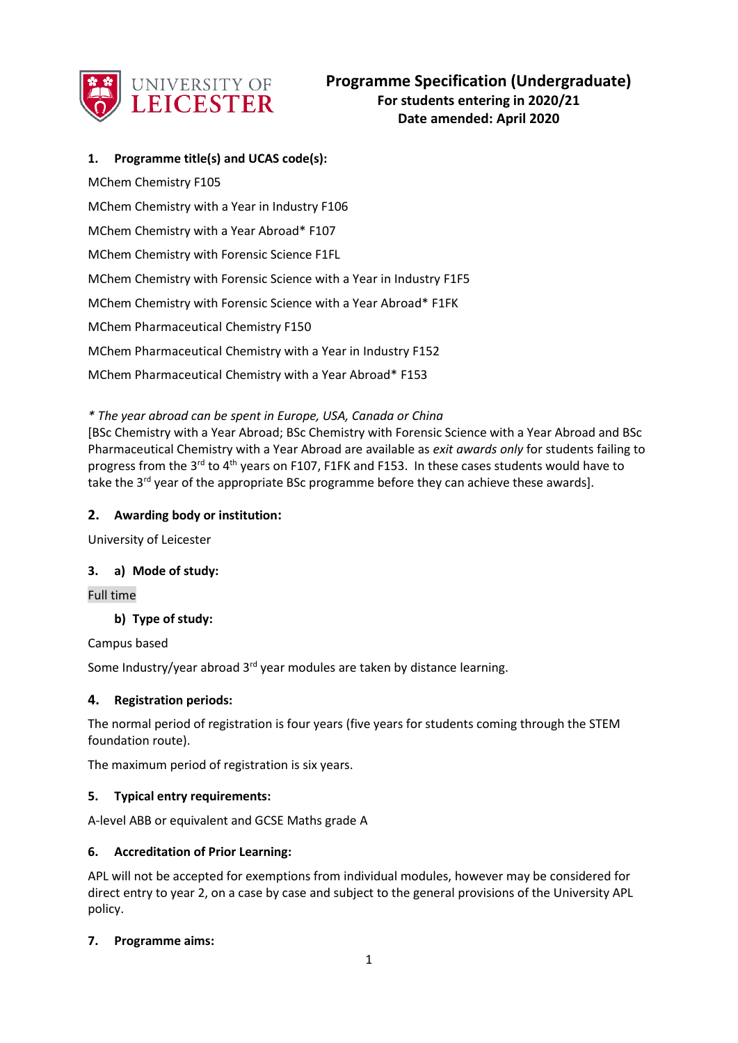

## **1. Programme title(s) and UCAS code(s):**

MChem Chemistry F105 MChem Chemistry with a Year in Industry F106 MChem Chemistry with a Year Abroad\* F107 MChem Chemistry with Forensic Science F1FL MChem Chemistry with Forensic Science with a Year in Industry F1F5 MChem Chemistry with Forensic Science with a Year Abroad\* F1FK MChem Pharmaceutical Chemistry F150 MChem Pharmaceutical Chemistry with a Year in Industry F152 MChem Pharmaceutical Chemistry with a Year Abroad\* F153

## *\* The year abroad can be spent in Europe, USA, Canada or China*

[BSc Chemistry with a Year Abroad; BSc Chemistry with Forensic Science with a Year Abroad and BSc Pharmaceutical Chemistry with a Year Abroad are available as *exit awards only* for students failing to progress from the 3<sup>rd</sup> to 4<sup>th</sup> years on F107, F1FK and F153. In these cases students would have to take the  $3^{rd}$  year of the appropriate BSc programme before they can achieve these awards].

## **2. Awarding body or institution:**

University of Leicester

## **3. a) Mode of study:**

Full time

## **b) Type of study:**

Campus based

Some Industry/year abroad  $3^{rd}$  year modules are taken by distance learning.

## **4. Registration periods:**

The normal period of registration is four years (five years for students coming through the STEM foundation route).

The maximum period of registration is six years.

### **5. Typical entry requirements:**

A-level ABB or equivalent and GCSE Maths grade A

### **6. Accreditation of Prior Learning:**

APL will not be accepted for exemptions from individual modules, however may be considered for direct entry to year 2, on a case by case and subject to the general provisions of the University APL policy.

### **7. Programme aims:**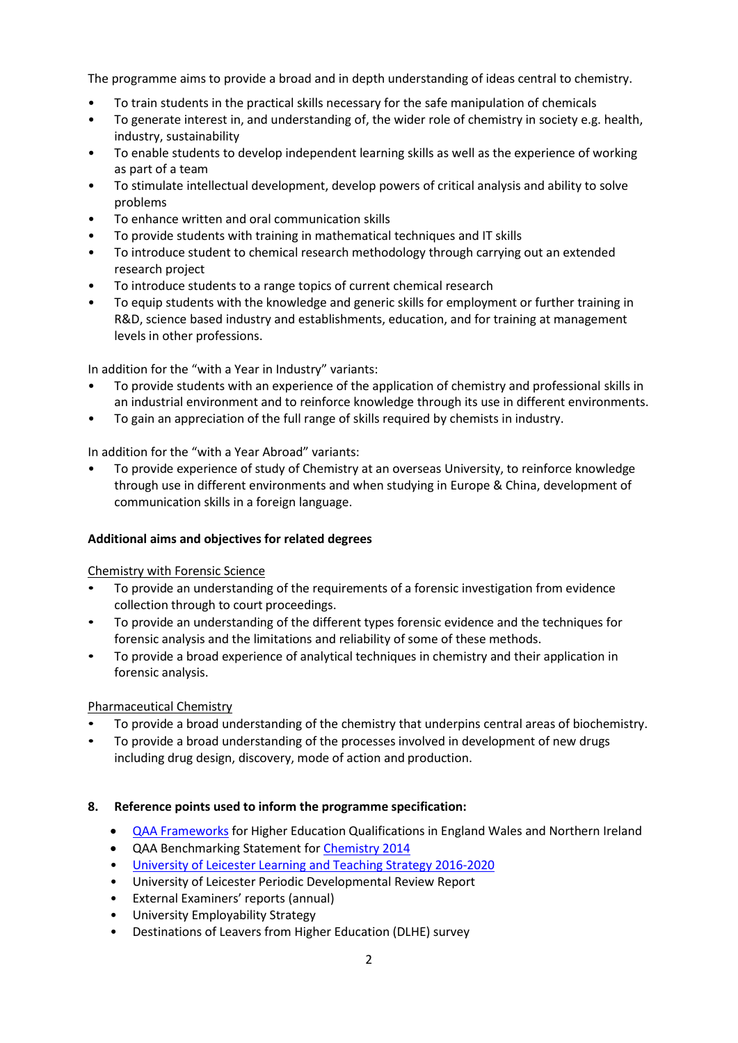The programme aims to provide a broad and in depth understanding of ideas central to chemistry.

- To train students in the practical skills necessary for the safe manipulation of chemicals
- To generate interest in, and understanding of, the wider role of chemistry in society e.g. health, industry, sustainability
- To enable students to develop independent learning skills as well as the experience of working as part of a team
- To stimulate intellectual development, develop powers of critical analysis and ability to solve problems
- To enhance written and oral communication skills
- To provide students with training in mathematical techniques and IT skills
- To introduce student to chemical research methodology through carrying out an extended research project
- To introduce students to a range topics of current chemical research
- To equip students with the knowledge and generic skills for employment or further training in R&D, science based industry and establishments, education, and for training at management levels in other professions.

In addition for the "with a Year in Industry" variants:

- To provide students with an experience of the application of chemistry and professional skills in an industrial environment and to reinforce knowledge through its use in different environments.
- To gain an appreciation of the full range of skills required by chemists in industry.

In addition for the "with a Year Abroad" variants:

• To provide experience of study of Chemistry at an overseas University, to reinforce knowledge through use in different environments and when studying in Europe & China, development of communication skills in a foreign language.

## **Additional aims and objectives for related degrees**

Chemistry with Forensic Science

- To provide an understanding of the requirements of a forensic investigation from evidence collection through to court proceedings.
- To provide an understanding of the different types forensic evidence and the techniques for forensic analysis and the limitations and reliability of some of these methods.
- To provide a broad experience of analytical techniques in chemistry and their application in forensic analysis.

## Pharmaceutical Chemistry

- To provide a broad understanding of the chemistry that underpins central areas of biochemistry.
- To provide a broad understanding of the processes involved in development of new drugs including drug design, discovery, mode of action and production.

## **8. Reference points used to inform the programme specification:**

- [QAA Frameworks](http://www.qaa.ac.uk/en/Publications/Documents/Framework-Higher-Education-Qualifications-08.pdf) for Higher Education Qualifications in England Wales and Northern Ireland
- **QAA Benchmarking Statement for [Chemistry 2014](http://www.qaa.ac.uk/en/Publications/Documents/SBS-chemistry-14.pdf)**
- [University of Leicester Learning and Teaching Strategy 2016-2020](http://www2.le.ac.uk/offices/sas2/quality/learnteach)
- University of Leicester Periodic Developmental Review Report
- External Examiners' reports (annual)
- University Employability Strategy
- Destinations of Leavers from Higher Education (DLHE) survey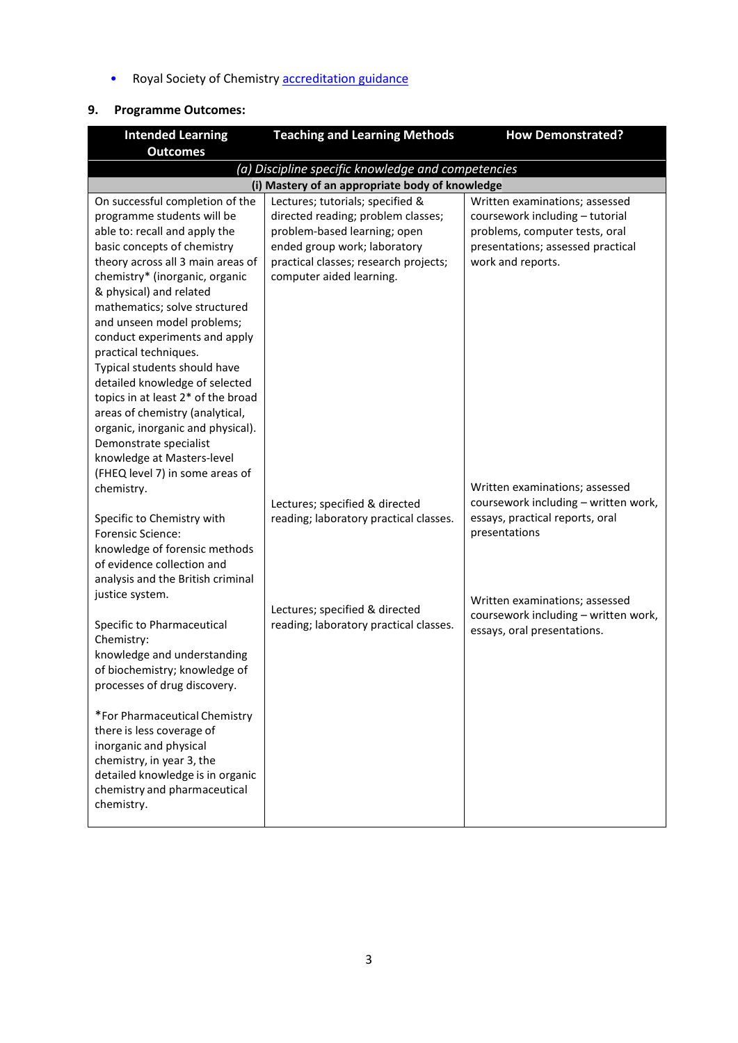• Royal Society of Chemistry **[accreditation guidance](http://www.rsc.org/images/Accreditaiton%20criteria%202017_tcm18-151306.pdf)** 

# **9. Programme Outcomes:**

| <b>Intended Learning</b>                                                                                                                                                                                                                                                                                                                                                                                                                                                                                                                                                                         | <b>Teaching and Learning Methods</b>                                                                                                                                                                        | <b>How Demonstrated?</b>                                                                                                                                      |  |  |
|--------------------------------------------------------------------------------------------------------------------------------------------------------------------------------------------------------------------------------------------------------------------------------------------------------------------------------------------------------------------------------------------------------------------------------------------------------------------------------------------------------------------------------------------------------------------------------------------------|-------------------------------------------------------------------------------------------------------------------------------------------------------------------------------------------------------------|---------------------------------------------------------------------------------------------------------------------------------------------------------------|--|--|
| <b>Outcomes</b>                                                                                                                                                                                                                                                                                                                                                                                                                                                                                                                                                                                  |                                                                                                                                                                                                             |                                                                                                                                                               |  |  |
| (a) Discipline specific knowledge and competencies                                                                                                                                                                                                                                                                                                                                                                                                                                                                                                                                               |                                                                                                                                                                                                             |                                                                                                                                                               |  |  |
|                                                                                                                                                                                                                                                                                                                                                                                                                                                                                                                                                                                                  | (i) Mastery of an appropriate body of knowledge                                                                                                                                                             |                                                                                                                                                               |  |  |
| On successful completion of the<br>programme students will be<br>able to: recall and apply the<br>basic concepts of chemistry<br>theory across all 3 main areas of<br>chemistry* (inorganic, organic<br>& physical) and related<br>mathematics; solve structured<br>and unseen model problems;<br>conduct experiments and apply<br>practical techniques.<br>Typical students should have<br>detailed knowledge of selected<br>topics in at least 2* of the broad<br>areas of chemistry (analytical,<br>organic, inorganic and physical).<br>Demonstrate specialist<br>knowledge at Masters-level | Lectures; tutorials; specified &<br>directed reading; problem classes;<br>problem-based learning; open<br>ended group work; laboratory<br>practical classes; research projects;<br>computer aided learning. | Written examinations; assessed<br>coursework including - tutorial<br>problems, computer tests, oral<br>presentations; assessed practical<br>work and reports. |  |  |
| (FHEQ level 7) in some areas of<br>chemistry.<br>Specific to Chemistry with<br><b>Forensic Science:</b><br>knowledge of forensic methods<br>of evidence collection and<br>analysis and the British criminal                                                                                                                                                                                                                                                                                                                                                                                      | Lectures; specified & directed<br>reading; laboratory practical classes.                                                                                                                                    | Written examinations; assessed<br>coursework including - written work,<br>essays, practical reports, oral<br>presentations                                    |  |  |
| justice system.<br>Specific to Pharmaceutical<br>Chemistry:<br>knowledge and understanding<br>of biochemistry; knowledge of<br>processes of drug discovery.<br>*For Pharmaceutical Chemistry<br>there is less coverage of<br>inorganic and physical<br>chemistry, in year 3, the<br>detailed knowledge is in organic<br>chemistry and pharmaceutical<br>chemistry.                                                                                                                                                                                                                               | Lectures; specified & directed<br>reading; laboratory practical classes.                                                                                                                                    | Written examinations; assessed<br>coursework including - written work,<br>essays, oral presentations.                                                         |  |  |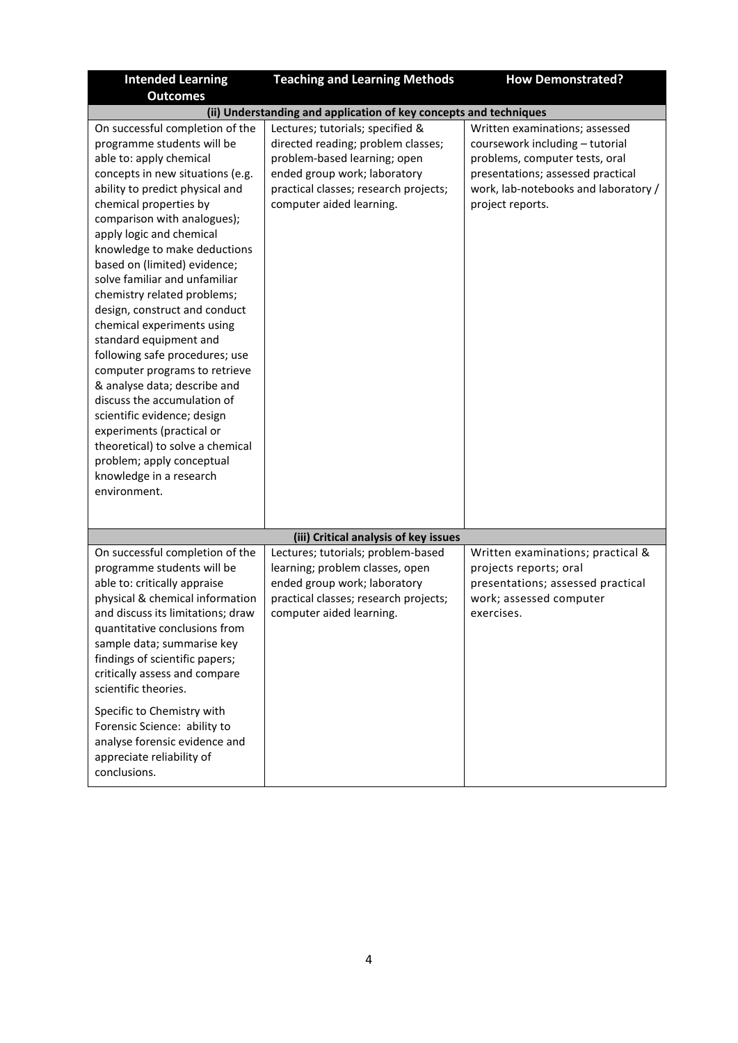| <b>Intended Learning</b>                                                                                                                                                                                                                                                                                                                                                                                                                                                                                                                                                                                                                                                                                                                                                                | <b>Teaching and Learning Methods</b>                                                                                                                                                                        | <b>How Demonstrated?</b>                                                                                                                                                                             |  |
|-----------------------------------------------------------------------------------------------------------------------------------------------------------------------------------------------------------------------------------------------------------------------------------------------------------------------------------------------------------------------------------------------------------------------------------------------------------------------------------------------------------------------------------------------------------------------------------------------------------------------------------------------------------------------------------------------------------------------------------------------------------------------------------------|-------------------------------------------------------------------------------------------------------------------------------------------------------------------------------------------------------------|------------------------------------------------------------------------------------------------------------------------------------------------------------------------------------------------------|--|
| <b>Outcomes</b>                                                                                                                                                                                                                                                                                                                                                                                                                                                                                                                                                                                                                                                                                                                                                                         |                                                                                                                                                                                                             |                                                                                                                                                                                                      |  |
| (ii) Understanding and application of key concepts and techniques                                                                                                                                                                                                                                                                                                                                                                                                                                                                                                                                                                                                                                                                                                                       |                                                                                                                                                                                                             |                                                                                                                                                                                                      |  |
| On successful completion of the<br>programme students will be<br>able to: apply chemical<br>concepts in new situations (e.g.<br>ability to predict physical and<br>chemical properties by<br>comparison with analogues);<br>apply logic and chemical<br>knowledge to make deductions<br>based on (limited) evidence;<br>solve familiar and unfamiliar<br>chemistry related problems;<br>design, construct and conduct<br>chemical experiments using<br>standard equipment and<br>following safe procedures; use<br>computer programs to retrieve<br>& analyse data; describe and<br>discuss the accumulation of<br>scientific evidence; design<br>experiments (practical or<br>theoretical) to solve a chemical<br>problem; apply conceptual<br>knowledge in a research<br>environment. | Lectures; tutorials; specified &<br>directed reading; problem classes;<br>problem-based learning; open<br>ended group work; laboratory<br>practical classes; research projects;<br>computer aided learning. | Written examinations; assessed<br>coursework including - tutorial<br>problems, computer tests, oral<br>presentations; assessed practical<br>work, lab-notebooks and laboratory /<br>project reports. |  |
|                                                                                                                                                                                                                                                                                                                                                                                                                                                                                                                                                                                                                                                                                                                                                                                         | (iii) Critical analysis of key issues                                                                                                                                                                       |                                                                                                                                                                                                      |  |
| On successful completion of the<br>programme students will be<br>able to: critically appraise<br>physical & chemical information<br>and discuss its limitations; draw<br>quantitative conclusions from<br>sample data; summarise key<br>findings of scientific papers;<br>critically assess and compare<br>scientific theories.                                                                                                                                                                                                                                                                                                                                                                                                                                                         | Lectures; tutorials; problem-based<br>learning; problem classes, open<br>ended group work; laboratory<br>practical classes; research projects;<br>computer aided learning.                                  | Written examinations; practical &<br>projects reports; oral<br>presentations; assessed practical<br>work; assessed computer<br>exercises.                                                            |  |
| Specific to Chemistry with<br>Forensic Science: ability to<br>analyse forensic evidence and<br>appreciate reliability of<br>conclusions.                                                                                                                                                                                                                                                                                                                                                                                                                                                                                                                                                                                                                                                |                                                                                                                                                                                                             |                                                                                                                                                                                                      |  |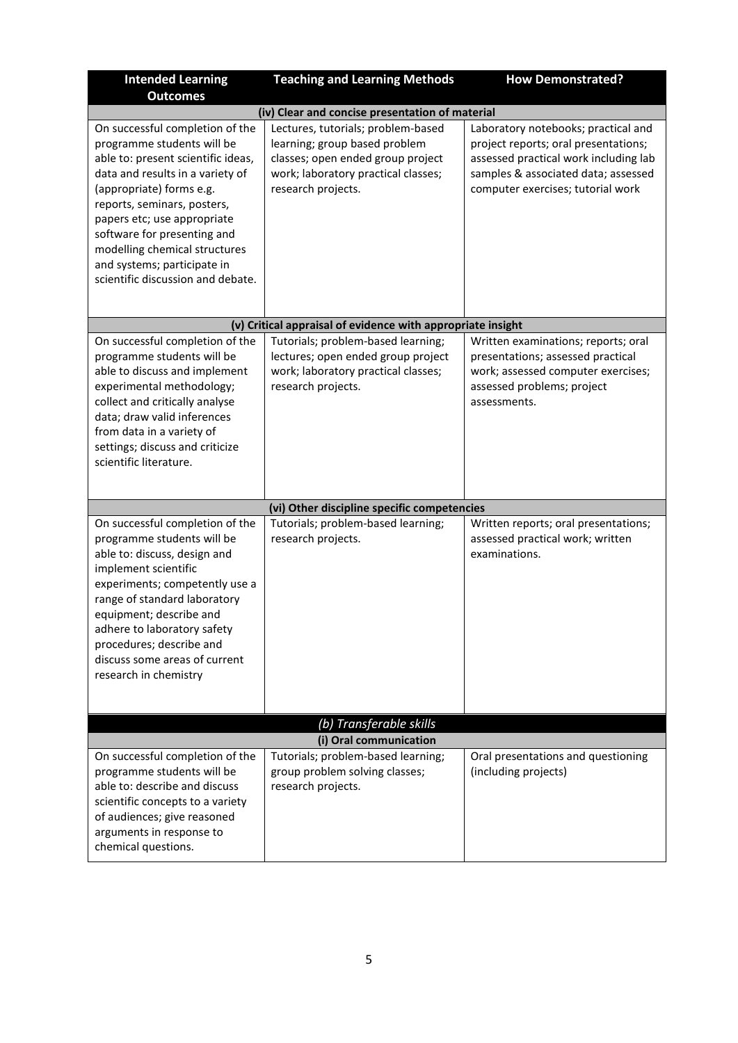| <b>Intended Learning</b><br><b>Outcomes</b>                                                                                                                                                                                                                                                                                                                           | <b>Teaching and Learning Methods</b>                                                                                                                                  | <b>How Demonstrated?</b>                                                                                                                                                                         |  |
|-----------------------------------------------------------------------------------------------------------------------------------------------------------------------------------------------------------------------------------------------------------------------------------------------------------------------------------------------------------------------|-----------------------------------------------------------------------------------------------------------------------------------------------------------------------|--------------------------------------------------------------------------------------------------------------------------------------------------------------------------------------------------|--|
| (iv) Clear and concise presentation of material                                                                                                                                                                                                                                                                                                                       |                                                                                                                                                                       |                                                                                                                                                                                                  |  |
| On successful completion of the<br>programme students will be<br>able to: present scientific ideas,<br>data and results in a variety of<br>(appropriate) forms e.g.<br>reports, seminars, posters,<br>papers etc; use appropriate<br>software for presenting and<br>modelling chemical structures<br>and systems; participate in<br>scientific discussion and debate. | Lectures, tutorials; problem-based<br>learning; group based problem<br>classes; open ended group project<br>work; laboratory practical classes;<br>research projects. | Laboratory notebooks; practical and<br>project reports; oral presentations;<br>assessed practical work including lab<br>samples & associated data; assessed<br>computer exercises; tutorial work |  |
|                                                                                                                                                                                                                                                                                                                                                                       | (v) Critical appraisal of evidence with appropriate insight                                                                                                           |                                                                                                                                                                                                  |  |
| On successful completion of the<br>programme students will be<br>able to discuss and implement<br>experimental methodology;<br>collect and critically analyse<br>data; draw valid inferences<br>from data in a variety of<br>settings; discuss and criticize<br>scientific literature.                                                                                | Tutorials; problem-based learning;<br>lectures; open ended group project<br>work; laboratory practical classes;<br>research projects.                                 | Written examinations; reports; oral<br>presentations; assessed practical<br>work; assessed computer exercises;<br>assessed problems; project<br>assessments.                                     |  |
|                                                                                                                                                                                                                                                                                                                                                                       |                                                                                                                                                                       |                                                                                                                                                                                                  |  |
|                                                                                                                                                                                                                                                                                                                                                                       | (vi) Other discipline specific competencies                                                                                                                           |                                                                                                                                                                                                  |  |
| On successful completion of the<br>programme students will be<br>able to: discuss, design and<br>implement scientific<br>experiments; competently use a<br>range of standard laboratory<br>equipment; describe and<br>adhere to laboratory safety<br>procedures; describe and<br>discuss some areas of current<br>research in chemistry                               | Tutorials; problem-based learning;<br>research projects.                                                                                                              | Written reports; oral presentations;<br>assessed practical work; written<br>examinations.                                                                                                        |  |
|                                                                                                                                                                                                                                                                                                                                                                       | (b) Transferable skills                                                                                                                                               |                                                                                                                                                                                                  |  |
|                                                                                                                                                                                                                                                                                                                                                                       | (i) Oral communication                                                                                                                                                |                                                                                                                                                                                                  |  |
| On successful completion of the<br>programme students will be<br>able to: describe and discuss<br>scientific concepts to a variety<br>of audiences; give reasoned<br>arguments in response to<br>chemical questions.                                                                                                                                                  | Tutorials; problem-based learning;<br>group problem solving classes;<br>research projects.                                                                            | Oral presentations and questioning<br>(including projects)                                                                                                                                       |  |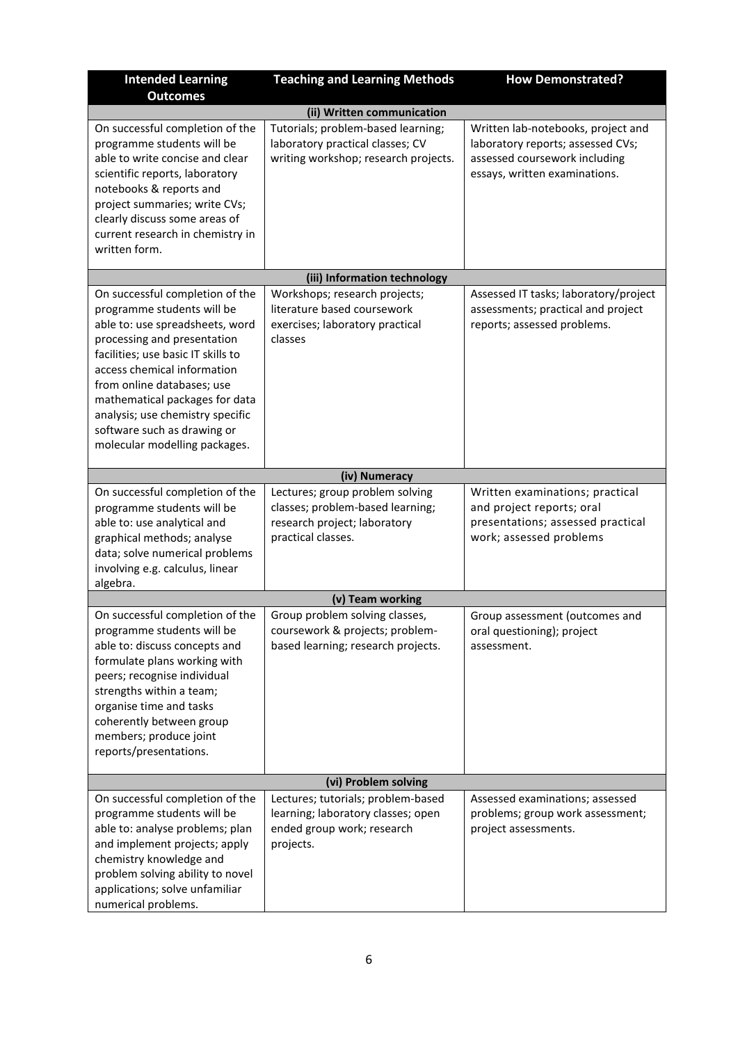| <b>Intended Learning</b><br><b>Outcomes</b>                                                                                                                                                                                                                                                                                                                              | <b>Teaching and Learning Methods</b>                                                                                      | <b>How Demonstrated?</b>                                                                                                                  |  |  |
|--------------------------------------------------------------------------------------------------------------------------------------------------------------------------------------------------------------------------------------------------------------------------------------------------------------------------------------------------------------------------|---------------------------------------------------------------------------------------------------------------------------|-------------------------------------------------------------------------------------------------------------------------------------------|--|--|
|                                                                                                                                                                                                                                                                                                                                                                          | (ii) Written communication                                                                                                |                                                                                                                                           |  |  |
| On successful completion of the<br>programme students will be<br>able to write concise and clear<br>scientific reports, laboratory<br>notebooks & reports and<br>project summaries; write CVs;<br>clearly discuss some areas of<br>current research in chemistry in<br>written form.                                                                                     | Tutorials; problem-based learning;<br>laboratory practical classes; CV<br>writing workshop; research projects.            | Written lab-notebooks, project and<br>laboratory reports; assessed CVs;<br>assessed coursework including<br>essays, written examinations. |  |  |
|                                                                                                                                                                                                                                                                                                                                                                          | (iii) Information technology                                                                                              |                                                                                                                                           |  |  |
| On successful completion of the<br>programme students will be<br>able to: use spreadsheets, word<br>processing and presentation<br>facilities; use basic IT skills to<br>access chemical information<br>from online databases; use<br>mathematical packages for data<br>analysis; use chemistry specific<br>software such as drawing or<br>molecular modelling packages. | Workshops; research projects;<br>literature based coursework<br>exercises; laboratory practical<br>classes                | Assessed IT tasks; laboratory/project<br>assessments; practical and project<br>reports; assessed problems.                                |  |  |
|                                                                                                                                                                                                                                                                                                                                                                          | (iv) Numeracy                                                                                                             |                                                                                                                                           |  |  |
| On successful completion of the<br>programme students will be<br>able to: use analytical and<br>graphical methods; analyse<br>data; solve numerical problems<br>involving e.g. calculus, linear<br>algebra.                                                                                                                                                              | Lectures; group problem solving<br>classes; problem-based learning;<br>research project; laboratory<br>practical classes. | Written examinations; practical<br>and project reports; oral<br>presentations; assessed practical<br>work; assessed problems              |  |  |
| (v) Team working                                                                                                                                                                                                                                                                                                                                                         |                                                                                                                           |                                                                                                                                           |  |  |
| On successful completion of the<br>programme students will be<br>able to: discuss concepts and<br>formulate plans working with<br>peers; recognise individual<br>strengths within a team;<br>organise time and tasks<br>coherently between group<br>members; produce joint<br>reports/presentations.                                                                     | Group problem solving classes,<br>coursework & projects; problem-<br>based learning; research projects.                   | Group assessment (outcomes and<br>oral questioning); project<br>assessment.                                                               |  |  |
| (vi) Problem solving                                                                                                                                                                                                                                                                                                                                                     |                                                                                                                           |                                                                                                                                           |  |  |
| On successful completion of the<br>programme students will be<br>able to: analyse problems; plan<br>and implement projects; apply<br>chemistry knowledge and<br>problem solving ability to novel<br>applications; solve unfamiliar<br>numerical problems.                                                                                                                | Lectures; tutorials; problem-based<br>learning; laboratory classes; open<br>ended group work; research<br>projects.       | Assessed examinations; assessed<br>problems; group work assessment;<br>project assessments.                                               |  |  |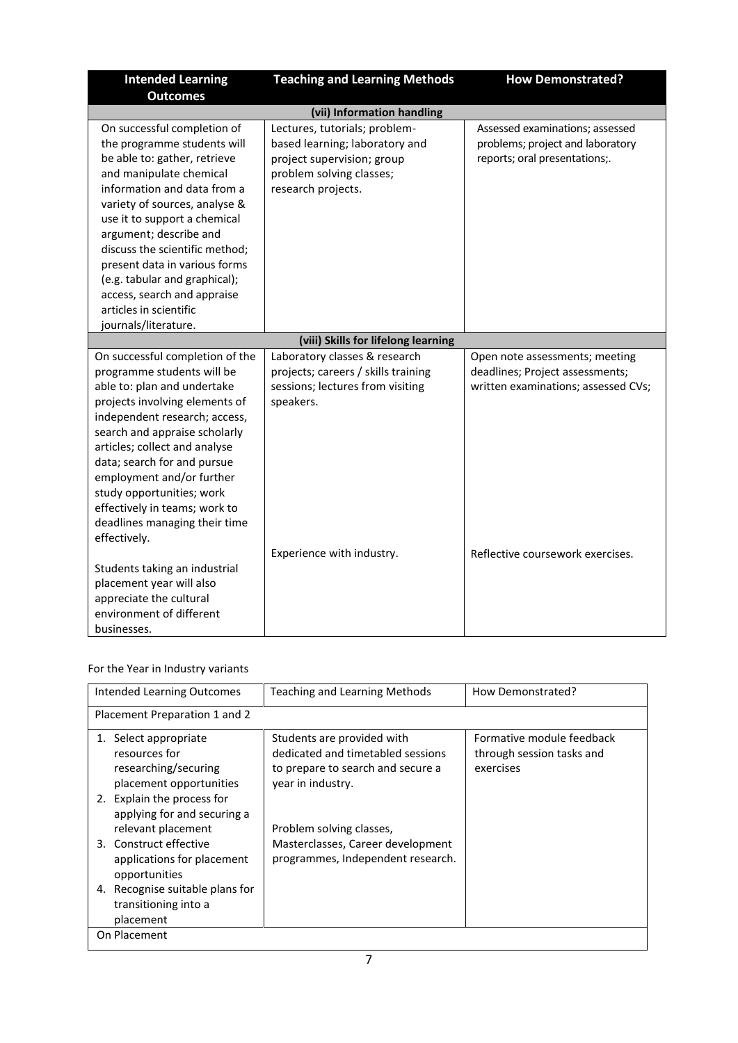| <b>Intended Learning</b><br><b>Outcomes</b>                                                                                                                                                                                                                                                                                                                                                                                          | <b>Teaching and Learning Methods</b>                                                                                                            | <b>How Demonstrated?</b>                                                                                 |  |
|--------------------------------------------------------------------------------------------------------------------------------------------------------------------------------------------------------------------------------------------------------------------------------------------------------------------------------------------------------------------------------------------------------------------------------------|-------------------------------------------------------------------------------------------------------------------------------------------------|----------------------------------------------------------------------------------------------------------|--|
| (vii) Information handling                                                                                                                                                                                                                                                                                                                                                                                                           |                                                                                                                                                 |                                                                                                          |  |
| On successful completion of<br>the programme students will<br>be able to: gather, retrieve<br>and manipulate chemical<br>information and data from a<br>variety of sources, analyse &<br>use it to support a chemical<br>argument; describe and<br>discuss the scientific method;<br>present data in various forms<br>(e.g. tabular and graphical);<br>access, search and appraise<br>articles in scientific<br>journals/literature. | Lectures, tutorials; problem-<br>based learning; laboratory and<br>project supervision; group<br>problem solving classes;<br>research projects. | Assessed examinations; assessed<br>problems; project and laboratory<br>reports; oral presentations;.     |  |
|                                                                                                                                                                                                                                                                                                                                                                                                                                      | (viii) Skills for lifelong learning                                                                                                             |                                                                                                          |  |
| On successful completion of the<br>programme students will be<br>able to: plan and undertake<br>projects involving elements of<br>independent research; access,<br>search and appraise scholarly<br>articles; collect and analyse<br>data; search for and pursue<br>employment and/or further<br>study opportunities; work<br>effectively in teams; work to<br>deadlines managing their time<br>effectively.                         | Laboratory classes & research<br>projects; careers / skills training<br>sessions; lectures from visiting<br>speakers.                           | Open note assessments; meeting<br>deadlines; Project assessments;<br>written examinations; assessed CVs; |  |
| Students taking an industrial<br>placement year will also<br>appreciate the cultural<br>environment of different<br>businesses.                                                                                                                                                                                                                                                                                                      | Experience with industry.                                                                                                                       | Reflective coursework exercises.                                                                         |  |

## For the Year in Industry variants

| Intended Learning Outcomes                                                                                                 | Teaching and Learning Methods                                                                                             | How Demonstrated?                                                   |
|----------------------------------------------------------------------------------------------------------------------------|---------------------------------------------------------------------------------------------------------------------------|---------------------------------------------------------------------|
| Placement Preparation 1 and 2                                                                                              |                                                                                                                           |                                                                     |
| Select appropriate<br>1.<br>resources for<br>researching/securing<br>placement opportunities<br>2. Explain the process for | Students are provided with<br>dedicated and timetabled sessions<br>to prepare to search and secure a<br>year in industry. | Formative module feedback<br>through session tasks and<br>exercises |
| applying for and securing a<br>relevant placement<br>3. Construct effective<br>applications for placement<br>opportunities | Problem solving classes,<br>Masterclasses, Career development<br>programmes, Independent research.                        |                                                                     |
| 4. Recognise suitable plans for<br>transitioning into a<br>placement                                                       |                                                                                                                           |                                                                     |
| On Placement                                                                                                               |                                                                                                                           |                                                                     |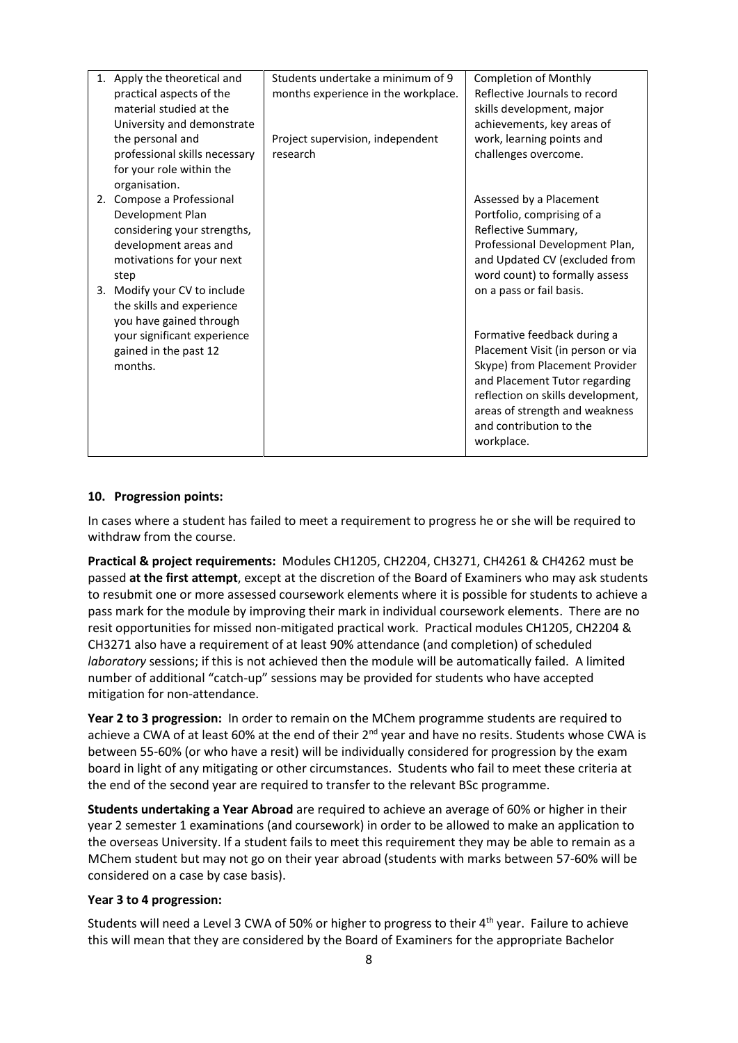| 1. Apply the theoretical and  | Students undertake a minimum of 9   | <b>Completion of Monthly</b>      |
|-------------------------------|-------------------------------------|-----------------------------------|
| practical aspects of the      | months experience in the workplace. | Reflective Journals to record     |
| material studied at the       |                                     | skills development, major         |
| University and demonstrate    |                                     | achievements, key areas of        |
| the personal and              | Project supervision, independent    | work, learning points and         |
| professional skills necessary | research                            | challenges overcome.              |
| for your role within the      |                                     |                                   |
| organisation.                 |                                     |                                   |
| 2. Compose a Professional     |                                     | Assessed by a Placement           |
| Development Plan              |                                     | Portfolio, comprising of a        |
| considering your strengths,   |                                     | Reflective Summary,               |
| development areas and         |                                     | Professional Development Plan,    |
| motivations for your next     |                                     | and Updated CV (excluded from     |
| step                          |                                     | word count) to formally assess    |
| 3. Modify your CV to include  |                                     | on a pass or fail basis.          |
| the skills and experience     |                                     |                                   |
| you have gained through       |                                     |                                   |
| your significant experience   |                                     | Formative feedback during a       |
| gained in the past 12         |                                     | Placement Visit (in person or via |
| months.                       |                                     | Skype) from Placement Provider    |
|                               |                                     | and Placement Tutor regarding     |
|                               |                                     | reflection on skills development, |
|                               |                                     | areas of strength and weakness    |
|                               |                                     | and contribution to the           |
|                               |                                     |                                   |
|                               |                                     | workplace.                        |

### **10. Progression points:**

In cases where a student has failed to meet a requirement to progress he or she will be required to withdraw from the course.

**Practical & project requirements:** Modules CH1205, CH2204, CH3271, CH4261 & CH4262 must be passed **at the first attempt**, except at the discretion of the Board of Examiners who may ask students to resubmit one or more assessed coursework elements where it is possible for students to achieve a pass mark for the module by improving their mark in individual coursework elements. There are no resit opportunities for missed non-mitigated practical work. Practical modules CH1205, CH2204 & CH3271 also have a requirement of at least 90% attendance (and completion) of scheduled *laboratory* sessions; if this is not achieved then the module will be automatically failed. A limited number of additional "catch-up" sessions may be provided for students who have accepted mitigation for non-attendance.

**Year 2 to 3 progression:** In order to remain on the MChem programme students are required to achieve a CWA of at least 60% at the end of their 2<sup>nd</sup> year and have no resits. Students whose CWA is between 55-60% (or who have a resit) will be individually considered for progression by the exam board in light of any mitigating or other circumstances. Students who fail to meet these criteria at the end of the second year are required to transfer to the relevant BSc programme.

**Students undertaking a Year Abroad** are required to achieve an average of 60% or higher in their year 2 semester 1 examinations (and coursework) in order to be allowed to make an application to the overseas University. If a student fails to meet this requirement they may be able to remain as a MChem student but may not go on their year abroad (students with marks between 57-60% will be considered on a case by case basis).

### **Year 3 to 4 progression:**

Students will need a Level 3 CWA of 50% or higher to progress to their 4th year. Failure to achieve this will mean that they are considered by the Board of Examiners for the appropriate Bachelor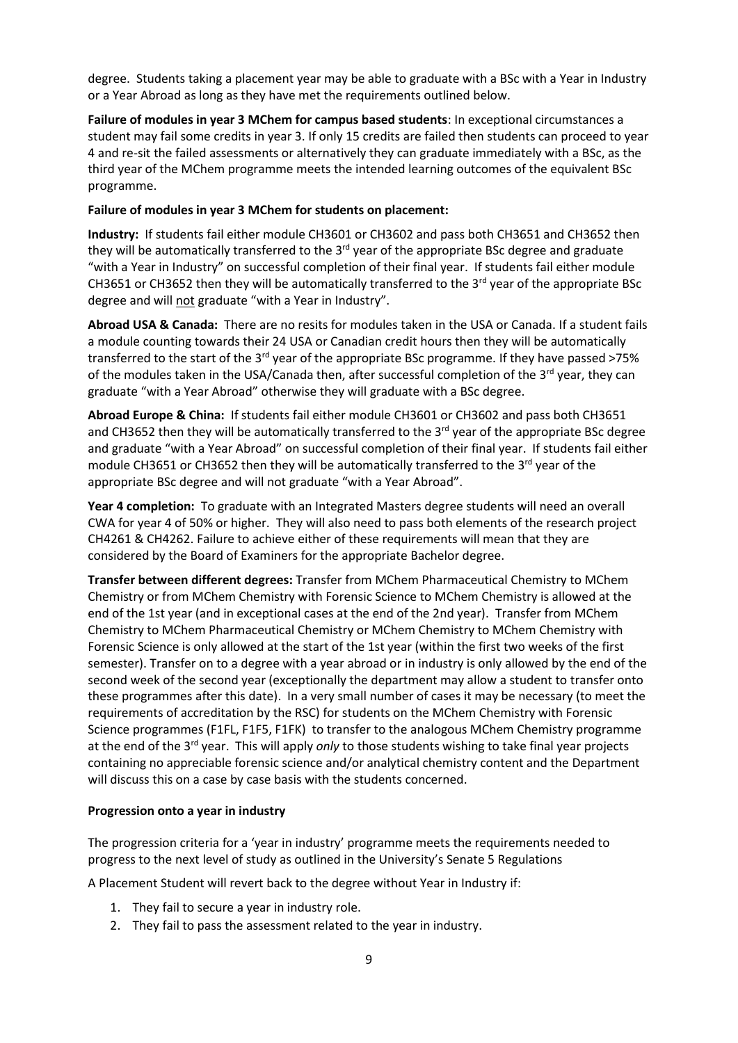degree. Students taking a placement year may be able to graduate with a BSc with a Year in Industry or a Year Abroad as long as they have met the requirements outlined below.

**Failure of modules in year 3 MChem for campus based students**: In exceptional circumstances a student may fail some credits in year 3. If only 15 credits are failed then students can proceed to year 4 and re-sit the failed assessments or alternatively they can graduate immediately with a BSc, as the third year of the MChem programme meets the intended learning outcomes of the equivalent BSc programme.

### **Failure of modules in year 3 MChem for students on placement:**

**Industry:** If students fail either module CH3601 or CH3602 and pass both CH3651 and CH3652 then they will be automatically transferred to the 3<sup>rd</sup> year of the appropriate BSc degree and graduate "with a Year in Industry" on successful completion of their final year. If students fail either module CH3651 or CH3652 then they will be automatically transferred to the 3<sup>rd</sup> year of the appropriate BSc degree and will not graduate "with a Year in Industry".

**Abroad USA & Canada:** There are no resits for modules taken in the USA or Canada. If a student fails a module counting towards their 24 USA or Canadian credit hours then they will be automatically transferred to the start of the 3<sup>rd</sup> year of the appropriate BSc programme. If they have passed >75% of the modules taken in the USA/Canada then, after successful completion of the 3<sup>rd</sup> year, they can graduate "with a Year Abroad" otherwise they will graduate with a BSc degree.

**Abroad Europe & China:** If students fail either module CH3601 or CH3602 and pass both CH3651 and CH3652 then they will be automatically transferred to the 3<sup>rd</sup> year of the appropriate BSc degree and graduate "with a Year Abroad" on successful completion of their final year. If students fail either module CH3651 or CH3652 then they will be automatically transferred to the 3<sup>rd</sup> year of the appropriate BSc degree and will not graduate "with a Year Abroad".

**Year 4 completion:** To graduate with an Integrated Masters degree students will need an overall CWA for year 4 of 50% or higher. They will also need to pass both elements of the research project CH4261 & CH4262. Failure to achieve either of these requirements will mean that they are considered by the Board of Examiners for the appropriate Bachelor degree.

**Transfer between different degrees:** Transfer from MChem Pharmaceutical Chemistry to MChem Chemistry or from MChem Chemistry with Forensic Science to MChem Chemistry is allowed at the end of the 1st year (and in exceptional cases at the end of the 2nd year). Transfer from MChem Chemistry to MChem Pharmaceutical Chemistry or MChem Chemistry to MChem Chemistry with Forensic Science is only allowed at the start of the 1st year (within the first two weeks of the first semester). Transfer on to a degree with a year abroad or in industry is only allowed by the end of the second week of the second year (exceptionally the department may allow a student to transfer onto these programmes after this date). In a very small number of cases it may be necessary (to meet the requirements of accreditation by the RSC) for students on the MChem Chemistry with Forensic Science programmes (F1FL, F1F5, F1FK) to transfer to the analogous MChem Chemistry programme at the end of the 3rd year. This will apply *only* to those students wishing to take final year projects containing no appreciable forensic science and/or analytical chemistry content and the Department will discuss this on a case by case basis with the students concerned.

#### **Progression onto a year in industry**

The progression criteria for a 'year in industry' programme meets the requirements needed to progress to the next level of study as outlined in the University's Senate 5 Regulations

A Placement Student will revert back to the degree without Year in Industry if:

- 1. They fail to secure a year in industry role.
- 2. They fail to pass the assessment related to the year in industry.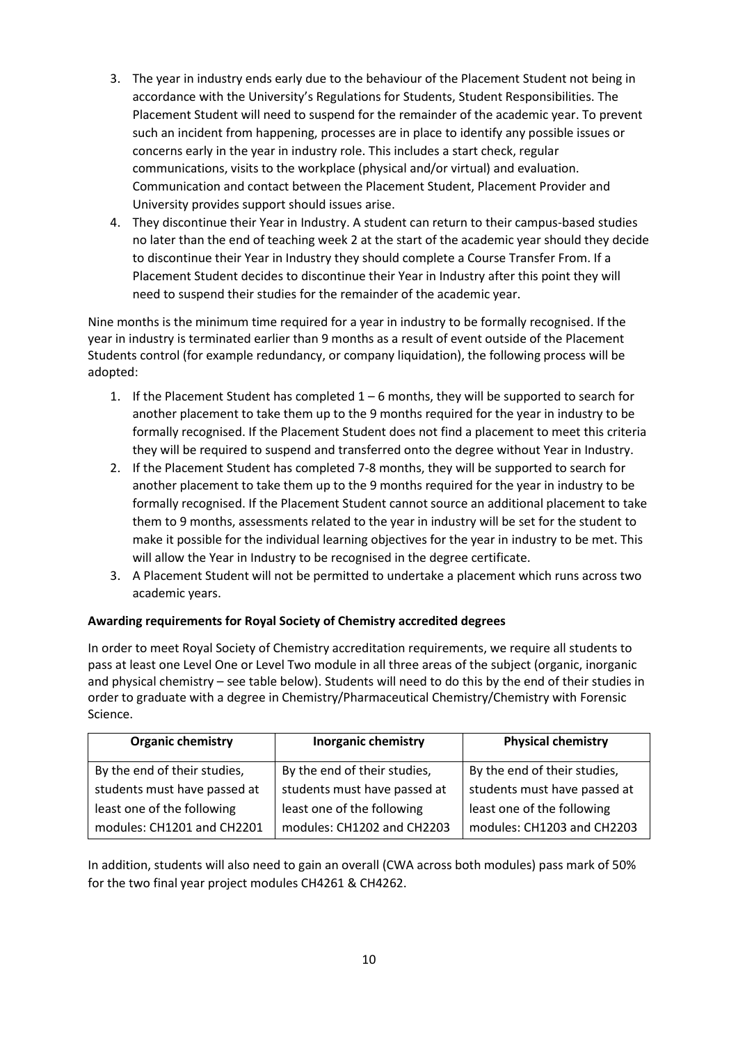- 3. The year in industry ends early due to the behaviour of the Placement Student not being in accordance with the University's Regulations for Students, Student Responsibilities. The Placement Student will need to suspend for the remainder of the academic year. To prevent such an incident from happening, processes are in place to identify any possible issues or concerns early in the year in industry role. This includes a start check, regular communications, visits to the workplace (physical and/or virtual) and evaluation. Communication and contact between the Placement Student, Placement Provider and University provides support should issues arise.
- 4. They discontinue their Year in Industry. A student can return to their campus-based studies no later than the end of teaching week 2 at the start of the academic year should they decide to discontinue their Year in Industry they should complete a Course Transfer From. If a Placement Student decides to discontinue their Year in Industry after this point they will need to suspend their studies for the remainder of the academic year.

Nine months is the minimum time required for a year in industry to be formally recognised. If the year in industry is terminated earlier than 9 months as a result of event outside of the Placement Students control (for example redundancy, or company liquidation), the following process will be adopted:

- 1. If the Placement Student has completed  $1-6$  months, they will be supported to search for another placement to take them up to the 9 months required for the year in industry to be formally recognised. If the Placement Student does not find a placement to meet this criteria they will be required to suspend and transferred onto the degree without Year in Industry.
- 2. If the Placement Student has completed 7-8 months, they will be supported to search for another placement to take them up to the 9 months required for the year in industry to be formally recognised. If the Placement Student cannot source an additional placement to take them to 9 months, assessments related to the year in industry will be set for the student to make it possible for the individual learning objectives for the year in industry to be met. This will allow the Year in Industry to be recognised in the degree certificate.
- 3. A Placement Student will not be permitted to undertake a placement which runs across two academic years.

## **Awarding requirements for Royal Society of Chemistry accredited degrees**

In order to meet Royal Society of Chemistry accreditation requirements, we require all students to pass at least one Level One or Level Two module in all three areas of the subject (organic, inorganic and physical chemistry – see table below). Students will need to do this by the end of their studies in order to graduate with a degree in Chemistry/Pharmaceutical Chemistry/Chemistry with Forensic Science.

| <b>Organic chemistry</b>     | <b>Inorganic chemistry</b>   | <b>Physical chemistry</b>    |
|------------------------------|------------------------------|------------------------------|
| By the end of their studies, | By the end of their studies, | By the end of their studies, |
| students must have passed at | students must have passed at | students must have passed at |
| least one of the following   | least one of the following   | least one of the following   |
| modules: CH1201 and CH2201   | modules: CH1202 and CH2203   | modules: CH1203 and CH2203   |

In addition, students will also need to gain an overall (CWA across both modules) pass mark of 50% for the two final year project modules CH4261 & CH4262.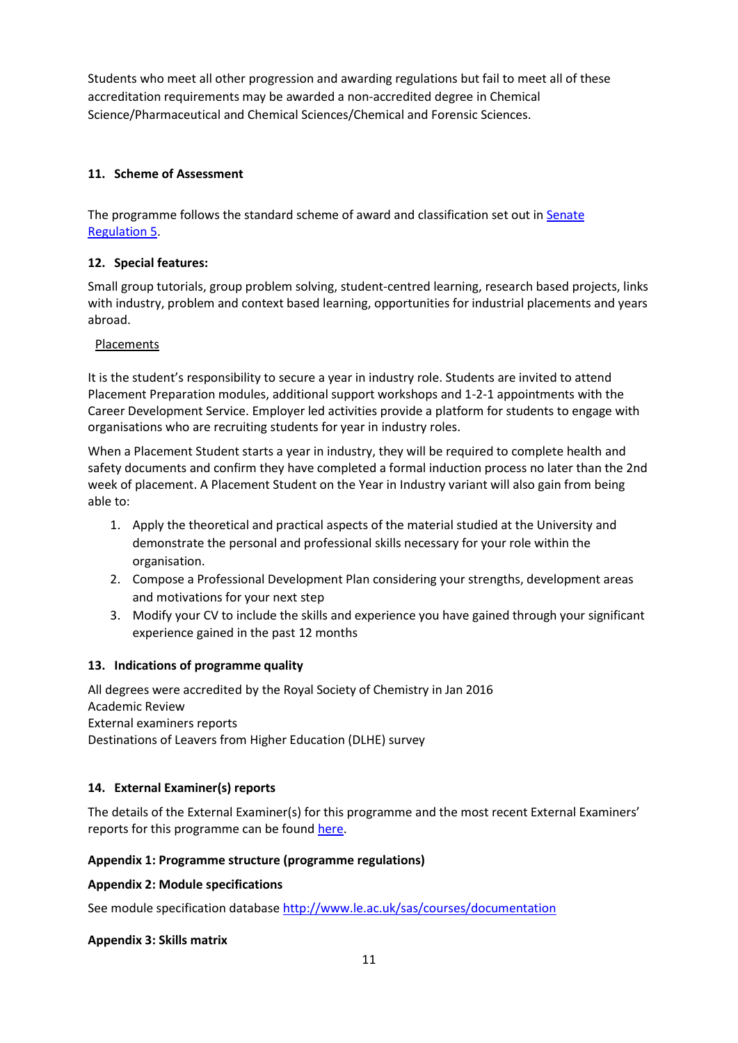Students who meet all other progression and awarding regulations but fail to meet all of these accreditation requirements may be awarded a non-accredited degree in Chemical Science/Pharmaceutical and Chemical Sciences/Chemical and Forensic Sciences.

## **11. Scheme of Assessment**

The programme follows the standard scheme of award and classification set out in [Senate](http://www2.le.ac.uk/offices/sas2/regulations/general-regulations-for-taught-programmes) [Regulation 5.](http://www2.le.ac.uk/offices/sas2/regulations/general-regulations-for-taught-programmes)

## **12. Special features:**

Small group tutorials, group problem solving, student-centred learning, research based projects, links with industry, problem and context based learning, opportunities for industrial placements and years abroad.

## Placements

It is the student's responsibility to secure a year in industry role. Students are invited to attend Placement Preparation modules, additional support workshops and 1-2-1 appointments with the Career Development Service. Employer led activities provide a platform for students to engage with organisations who are recruiting students for year in industry roles.

When a Placement Student starts a year in industry, they will be required to complete health and safety documents and confirm they have completed a formal induction process no later than the 2nd week of placement. A Placement Student on the Year in Industry variant will also gain from being able to:

- 1. Apply the theoretical and practical aspects of the material studied at the University and demonstrate the personal and professional skills necessary for your role within the organisation.
- 2. Compose a Professional Development Plan considering your strengths, development areas and motivations for your next step
- 3. Modify your CV to include the skills and experience you have gained through your significant experience gained in the past 12 months

## **13. Indications of programme quality**

All degrees were accredited by the Royal Society of Chemistry in Jan 2016 Academic Review External examiners reports Destinations of Leavers from Higher Education (DLHE) survey

## **14. External Examiner(s) reports**

The details of the External Examiner(s) for this programme and the most recent External Examiners' reports for this programme can be foun[d here.](https://exampapers.le.ac.uk/xmlui/)

## **Appendix 1: Programme structure (programme regulations)**

## **Appendix 2: Module specifications**

See module specification database <http://www.le.ac.uk/sas/courses/documentation>

## **Appendix 3: Skills matrix**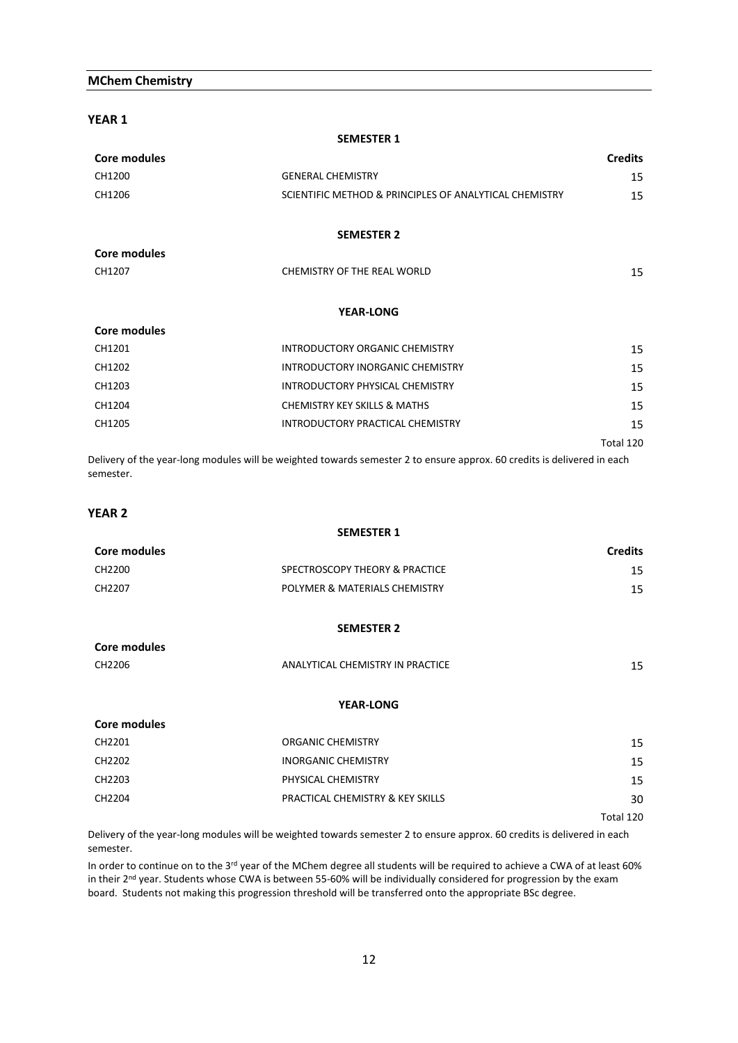### **MChem Chemistry**

**YEAR 1**

|                     | <b>SEMESTER 1</b>                                      |                |
|---------------------|--------------------------------------------------------|----------------|
| Core modules        |                                                        | <b>Credits</b> |
| CH1200              | <b>GENERAL CHEMISTRY</b>                               | 15             |
| CH1206              | SCIENTIFIC METHOD & PRINCIPLES OF ANALYTICAL CHEMISTRY | 15             |
|                     | <b>SEMESTER 2</b>                                      |                |
| <b>Core modules</b> |                                                        |                |
| CH1207              | CHEMISTRY OF THE REAL WORLD                            | 15             |
|                     | <b>YEAR-LONG</b>                                       |                |
| Core modules        |                                                        |                |
| CH1201              | INTRODUCTORY ORGANIC CHEMISTRY                         | 15             |
| CH1202              | INTRODUCTORY INORGANIC CHEMISTRY                       | 15             |
| CH1203              | INTRODUCTORY PHYSICAL CHEMISTRY                        | 15             |
| CH1204              | <b>CHEMISTRY KEY SKILLS &amp; MATHS</b>                | 15             |
| CH1205              | INTRODUCTORY PRACTICAL CHEMISTRY                       | 15             |
|                     |                                                        | Total 120      |
|                     |                                                        |                |

Delivery of the year-long modules will be weighted towards semester 2 to ensure approx. 60 credits is delivered in each semester.

**SEMESTER 1**

### **YEAR 2**

| Core modules        |                                  | <b>Credits</b> |
|---------------------|----------------------------------|----------------|
| CH2200              | SPECTROSCOPY THEORY & PRACTICE   | 15             |
| CH2207              | POLYMER & MATERIALS CHEMISTRY    | 15             |
|                     | <b>SEMESTER 2</b>                |                |
| <b>Core modules</b> |                                  |                |
| CH2206              | ANALYTICAL CHEMISTRY IN PRACTICE | 15             |
|                     | <b>YEAR-LONG</b>                 |                |
| Core modules        |                                  |                |
| CH2201              | <b>ORGANIC CHEMISTRY</b>         | 15             |
| CH2202              | <b>INORGANIC CHEMISTRY</b>       | 15             |
| CH2203              | PHYSICAL CHEMISTRY               | 15             |
| CH2204              | PRACTICAL CHEMISTRY & KEY SKILLS | 30             |
|                     |                                  | Total 120      |

Delivery of the year-long modules will be weighted towards semester 2 to ensure approx. 60 credits is delivered in each semester.

In order to continue on to the  $3^{rd}$  year of the MChem degree all students will be required to achieve a CWA of at least 60% in their 2<sup>nd</sup> year. Students whose CWA is between 55-60% will be individually considered for progression by the exam board. Students not making this progression threshold will be transferred onto the appropriate BSc degree.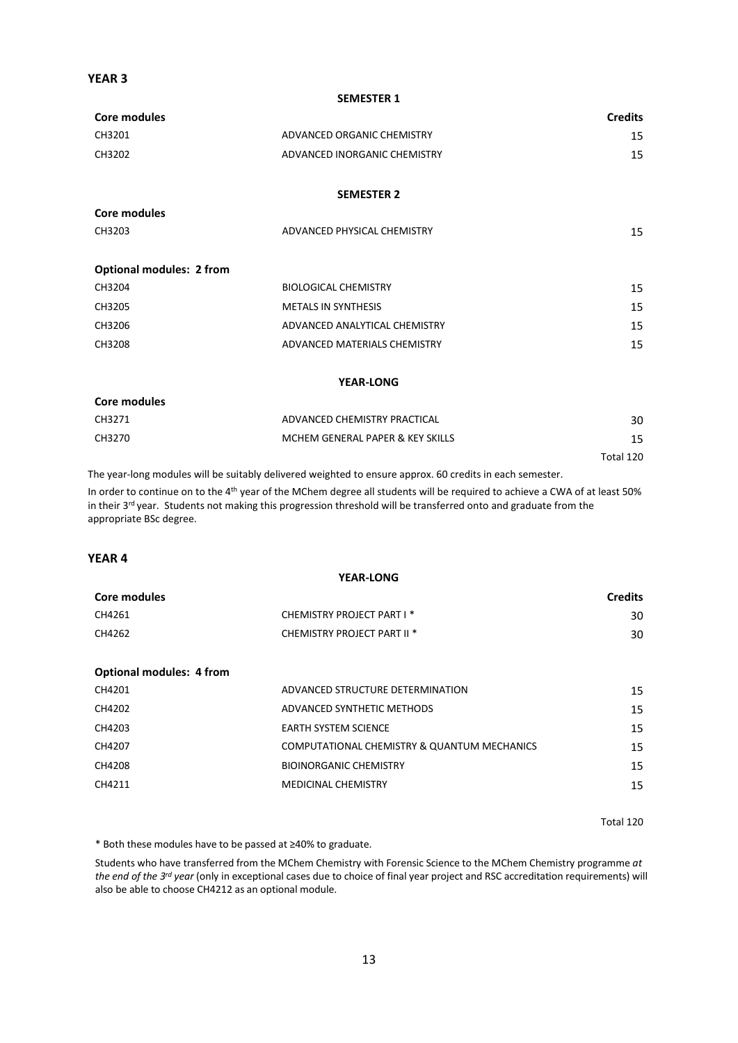## **YEAR 3**

**Core modules**

#### **SEMESTER 1**

| Core modules |                              | <b>Credits</b> |
|--------------|------------------------------|----------------|
| CH3201       | ADVANCED ORGANIC CHEMISTRY   | 15             |
| CH3202       | ADVANCED INORGANIC CHEMISTRY | 15             |
|              |                              |                |

### **SEMESTER 2**

| CH3203                          | ADVANCED PHYSICAL CHEMISTRY | 15 |
|---------------------------------|-----------------------------|----|
| <b>Optional modules: 2 from</b> |                             |    |

| CH3204 | <b>BIOLOGICAL CHEMISTRY</b>   | 15 |
|--------|-------------------------------|----|
| CH3205 | <b>METALS IN SYNTHESIS</b>    | 15 |
| CH3206 | ADVANCED ANALYTICAL CHEMISTRY | 15 |
| CH3208 | ADVANCED MATERIALS CHEMISTRY  | 15 |

#### **YEAR-LONG**

| Core modules |                                  |           |
|--------------|----------------------------------|-----------|
| CH3271       | ADVANCED CHEMISTRY PRACTICAL     | 30        |
| CH3270       | MCHEM GENERAL PAPER & KEY SKILLS | 15        |
|              |                                  | Total 120 |

The year-long modules will be suitably delivered weighted to ensure approx. 60 credits in each semester. In order to continue on to the 4<sup>th</sup> year of the MChem degree all students will be required to achieve a CWA of at least 50% in their 3<sup>rd</sup> year. Students not making this progression threshold will be transferred onto and graduate from the appropriate BSc degree.

### **YEAR 4**

| <b>YEAR-LONG</b> |                                        |                |
|------------------|----------------------------------------|----------------|
| Core modules     |                                        | <b>Credits</b> |
| CH4261           | CHEMISTRY PROJECT PART I *             | 30             |
| CH4262           | CHEMISTRY PROJECT PART II <sup>*</sup> | 30             |

|  | <b>Optional modules: 4 from</b> |  |
|--|---------------------------------|--|
|--|---------------------------------|--|

| CH4201 | ADVANCED STRUCTURE DETERMINATION            | 15 |
|--------|---------------------------------------------|----|
| CH4202 | ADVANCED SYNTHETIC METHODS                  | 15 |
| CH4203 | EARTH SYSTEM SCIENCE                        | 15 |
| CH4207 | COMPUTATIONAL CHEMISTRY & QUANTUM MECHANICS | 15 |
| CH4208 | <b>BIOINORGANIC CHEMISTRY</b>               | 15 |
| CH4211 | MEDICINAL CHEMISTRY                         | 15 |
|        |                                             |    |

Total 120

\* Both these modules have to be passed at ≥40% to graduate.

Students who have transferred from the MChem Chemistry with Forensic Science to the MChem Chemistry programme *at the end of the 3rd year* (only in exceptional cases due to choice of final year project and RSC accreditation requirements) will also be able to choose CH4212 as an optional module.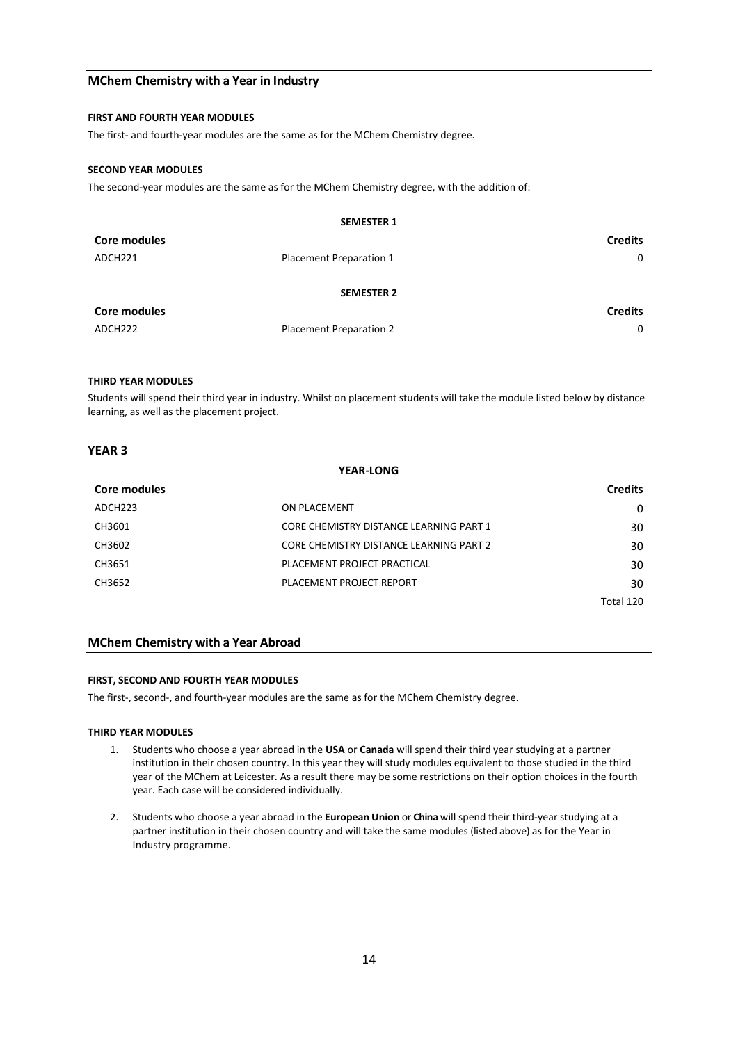### **MChem Chemistry with a Year in Industry**

#### **FIRST AND FOURTH YEAR MODULES**

The first- and fourth-year modules are the same as for the MChem Chemistry degree.

#### **SECOND YEAR MODULES**

The second-year modules are the same as for the MChem Chemistry degree, with the addition of:

|                     | <b>SEMESTER 1</b>              |                |
|---------------------|--------------------------------|----------------|
| Core modules        |                                | <b>Credits</b> |
| ADCH221             | Placement Preparation 1        | 0              |
| <b>SEMESTER 2</b>   |                                |                |
| <b>Core modules</b> |                                | <b>Credits</b> |
| ADCH222             | <b>Placement Preparation 2</b> | $\Omega$       |

#### **THIRD YEAR MODULES**

Students will spend their third year in industry. Whilst on placement students will take the module listed below by distance learning, as well as the placement project.

### **YEAR 3**

| <b>YEAR-LONG</b>    |                                         |                |
|---------------------|-----------------------------------------|----------------|
| Core modules        |                                         | <b>Credits</b> |
| ADCH <sub>223</sub> | ON PLACEMENT                            | 0              |
| CH3601              | CORE CHEMISTRY DISTANCE LEARNING PART 1 | 30             |
| CH3602              | CORE CHEMISTRY DISTANCE LEARNING PART 2 | 30             |
| CH3651              | PLACEMENT PROJECT PRACTICAL             | 30             |
| CH3652              | PLACEMENT PROJECT REPORT                | 30             |
|                     |                                         | Total 120      |

### **MChem Chemistry with a Year Abroad**

#### **FIRST, SECOND AND FOURTH YEAR MODULES**

The first-, second-, and fourth-year modules are the same as for the MChem Chemistry degree.

#### **THIRD YEAR MODULES**

- 1. Students who choose a year abroad in the **USA** or **Canada** will spend their third year studying at a partner institution in their chosen country. In this year they will study modules equivalent to those studied in the third year of the MChem at Leicester. As a result there may be some restrictions on their option choices in the fourth year. Each case will be considered individually.
- 2. Students who choose a year abroad in the **European Union** or **China** will spend their third-year studying at a partner institution in their chosen country and will take the same modules (listed above) as for the Year in Industry programme.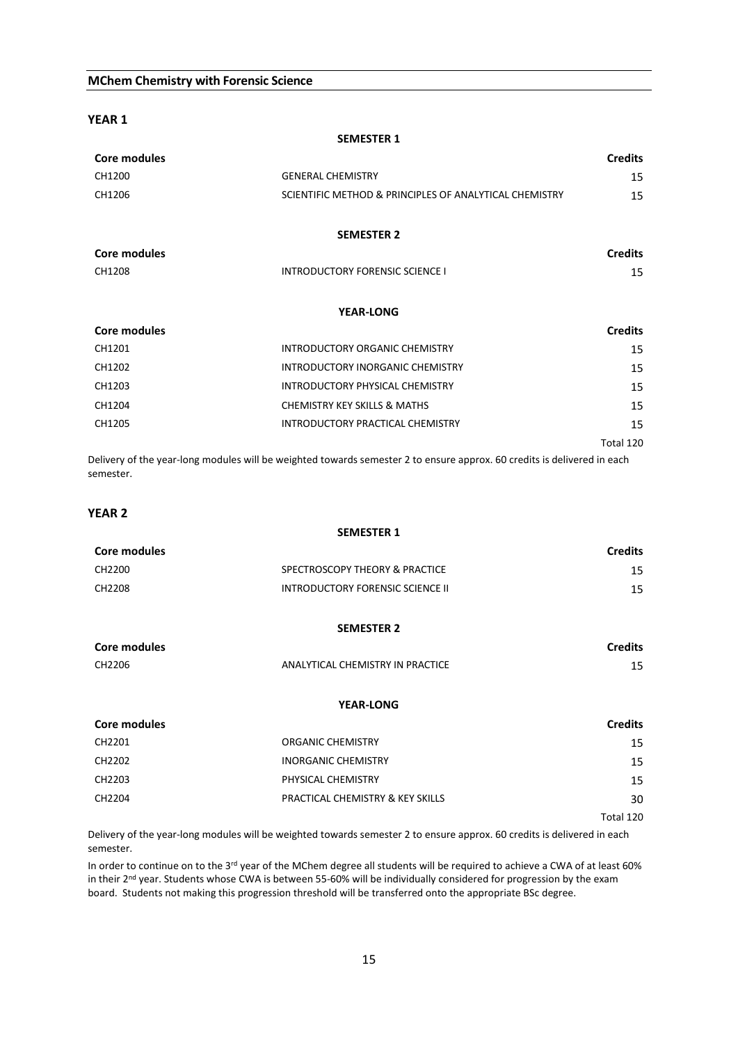### **MChem Chemistry with Forensic Science**

**YEAR 1**

| Core modules |                                                        | <b>Credits</b> |
|--------------|--------------------------------------------------------|----------------|
| CH1200       | <b>GENERAL CHEMISTRY</b>                               | 15             |
| CH1206       | SCIENTIFIC METHOD & PRINCIPLES OF ANALYTICAL CHEMISTRY | 15             |
|              | <b>SEMESTER 2</b>                                      |                |
| Core modules |                                                        | <b>Credits</b> |
| CH1208       | <b>INTRODUCTORY FORENSIC SCIENCE I</b>                 | 15             |
|              | <b>YEAR-LONG</b>                                       |                |
| Core modules |                                                        | <b>Credits</b> |
| CH1201       | INTRODUCTORY ORGANIC CHEMISTRY                         | 15             |
| CH1202       | INTRODUCTORY INORGANIC CHEMISTRY                       | 15             |
| CH1203       | INTRODUCTORY PHYSICAL CHEMISTRY                        | 15             |
| CH1204       | CHEMISTRY KEY SKILLS & MATHS                           | 15             |
| CH1205       | INTRODUCTORY PRACTICAL CHEMISTRY                       | 15             |
|              |                                                        | Total 120      |

**SEMESTER 1**

Delivery of the year-long modules will be weighted towards semester 2 to ensure approx. 60 credits is delivered in each semester.

**SEMESTER 1**

### **YEAR 2**

| <b>Core modules</b> |                                         | <b>Credits</b> |  |
|---------------------|-----------------------------------------|----------------|--|
| CH2200              | SPECTROSCOPY THEORY & PRACTICE          | 15             |  |
| CH2208              | <b>INTRODUCTORY FORENSIC SCIENCE II</b> | 15             |  |
|                     | <b>SEMESTER 2</b>                       |                |  |
| <b>Core modules</b> |                                         | <b>Credits</b> |  |
| CH2206              | ANALYTICAL CHEMISTRY IN PRACTICE        | 15             |  |
| <b>YEAR-LONG</b>    |                                         |                |  |
| <b>Core modules</b> |                                         | <b>Credits</b> |  |
| CH2201              | ORGANIC CHEMISTRY                       | 15             |  |
| CH2202              | <b>INORGANIC CHEMISTRY</b>              | 15             |  |
| CH2203              | PHYSICAL CHEMISTRY                      | 15             |  |
| CH2204              | PRACTICAL CHEMISTRY & KEY SKILLS        | 30             |  |
|                     |                                         | Total 120      |  |

Delivery of the year-long modules will be weighted towards semester 2 to ensure approx. 60 credits is delivered in each semester.

In order to continue on to the 3<sup>rd</sup> year of the MChem degree all students will be required to achieve a CWA of at least 60% in their 2<sup>nd</sup> year. Students whose CWA is between 55-60% will be individually considered for progression by the exam board. Students not making this progression threshold will be transferred onto the appropriate BSc degree.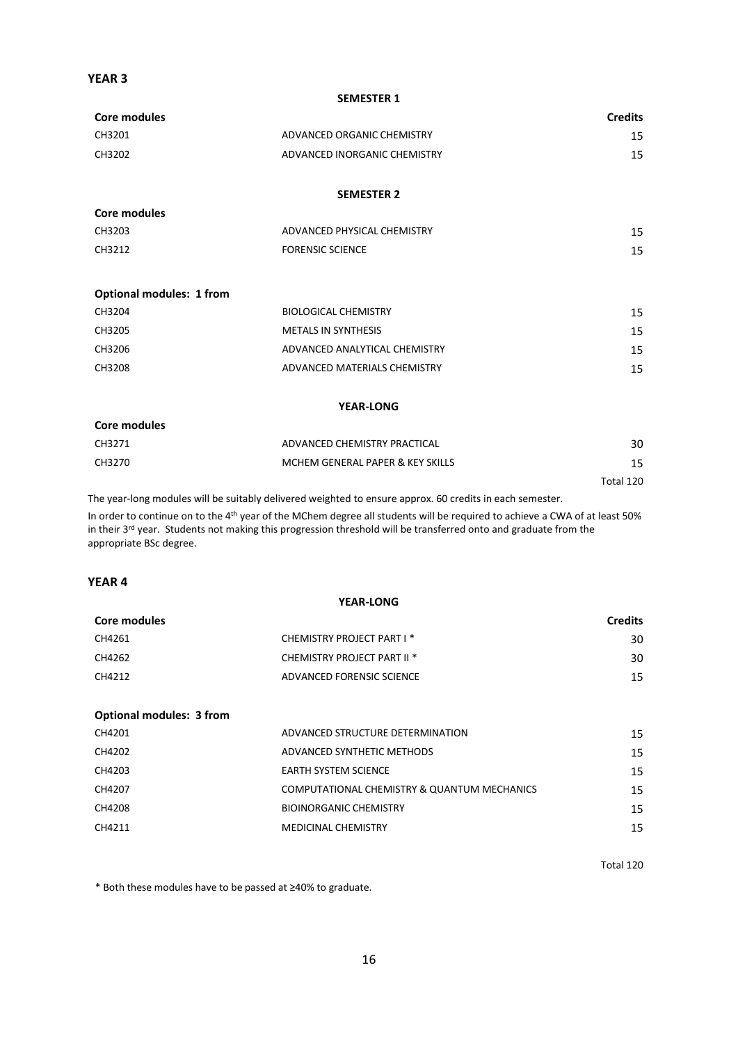## **YEAR 3**

#### **SEMESTER 1**

| Core modules |                              | <b>Credits</b> |
|--------------|------------------------------|----------------|
| CH3201       | ADVANCED ORGANIC CHEMISTRY   | 15             |
| CH3202       | ADVANCED INORGANIC CHEMISTRY | 15             |

### **SEMESTER 2**

| CH3203 | ADVANCED PHYSICAL CHEMISTRY |  |
|--------|-----------------------------|--|
| CH3212 | <b>FORENSIC SCIENCE</b>     |  |

## **Optional modules: 1 from**

**Core modules**

| CH3204 | <b>BIOLOGICAL CHEMISTRY</b>   | 15 |
|--------|-------------------------------|----|
| CH3205 | <b>METALS IN SYNTHESIS</b>    | 15 |
| CH3206 | ADVANCED ANALYTICAL CHEMISTRY | 15 |
| CH3208 | ADVANCED MATERIALS CHEMISTRY  | 15 |
|        |                               |    |

### **YEAR-LONG**

| Core modules |                                  |           |
|--------------|----------------------------------|-----------|
| CH3271       | ADVANCED CHEMISTRY PRACTICAL     | 30        |
| CH3270       | MCHEM GENERAL PAPER & KEY SKILLS | 15        |
|              |                                  | Total 120 |

The year-long modules will be suitably delivered weighted to ensure approx. 60 credits in each semester. In order to continue on to the 4<sup>th</sup> year of the MChem degree all students will be required to achieve a CWA of at least 50% in their 3<sup>rd</sup> year. Students not making this progression threshold will be transferred onto and graduate from the appropriate BSc degree.

## **YEAR 4**

| <b>YEAR-LONG</b>                |                                             |                |
|---------------------------------|---------------------------------------------|----------------|
| Core modules                    |                                             | <b>Credits</b> |
| CH4261                          | CHEMISTRY PROJECT PART I *                  | 30             |
| CH4262                          | CHEMISTRY PROJECT PART II <sup>*</sup>      | 30             |
| CH4212                          | ADVANCED FORENSIC SCIENCE                   | 15             |
|                                 |                                             |                |
| <b>Optional modules: 3 from</b> |                                             |                |
| CH4201                          | ADVANCED STRUCTURE DETERMINATION            | 15             |
| CH4202                          | ADVANCED SYNTHETIC METHODS                  | 15             |
| CH4203                          | <b>EARTH SYSTEM SCIENCE</b>                 | 15             |
| CH4207                          | COMPUTATIONAL CHEMISTRY & QUANTUM MECHANICS | 15             |
| CH4208                          | <b>BIOINORGANIC CHEMISTRY</b>               | 15             |
| CH4211                          | <b>MEDICINAL CHEMISTRY</b>                  | 15             |

Total 120

\* Both these modules have to be passed at ≥40% to graduate.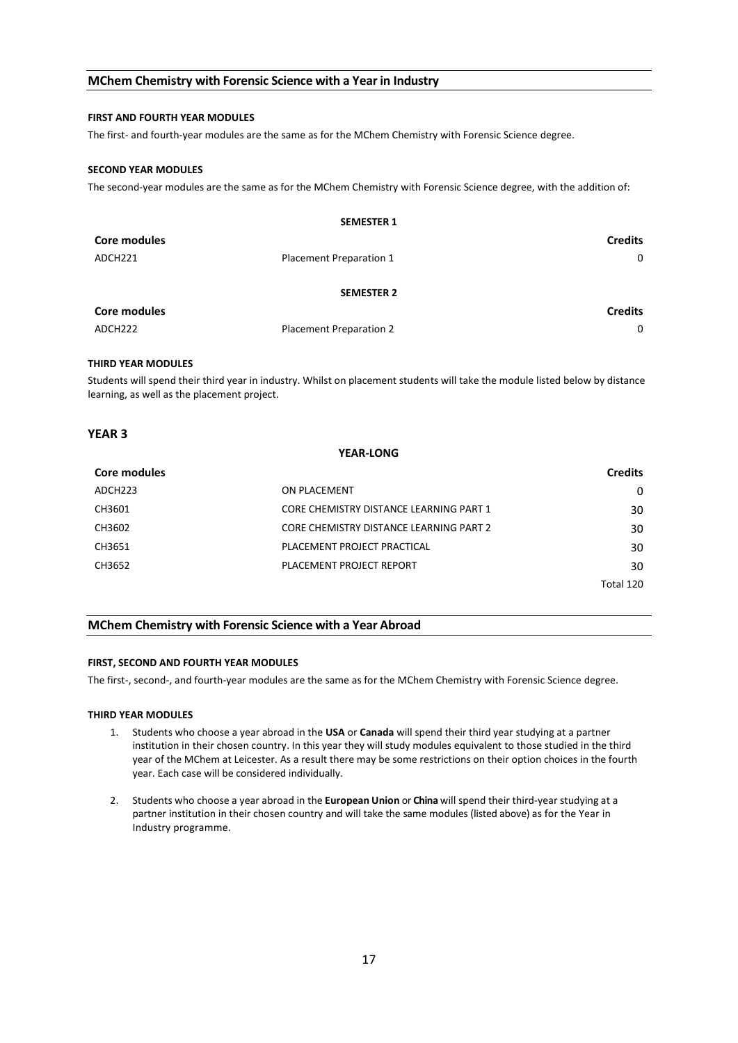### **MChem Chemistry with Forensic Science with a Year in Industry**

#### **FIRST AND FOURTH YEAR MODULES**

The first- and fourth-year modules are the same as for the MChem Chemistry with Forensic Science degree.

#### **SECOND YEAR MODULES**

The second-year modules are the same as for the MChem Chemistry with Forensic Science degree, with the addition of:

|                     | <b>SEMESTER 1</b>       |                |
|---------------------|-------------------------|----------------|
| <b>Core modules</b> |                         | <b>Credits</b> |
| ADCH221             | Placement Preparation 1 | 0              |
|                     | <b>SEMESTER 2</b>       |                |
| <b>Core modules</b> |                         | <b>Credits</b> |
| ADCH222             | Placement Preparation 2 | $\mathbf{0}$   |

#### **THIRD YEAR MODULES**

Students will spend their third year in industry. Whilst on placement students will take the module listed below by distance learning, as well as the placement project.

### **YEAR 3**

| <b>YEAR-LONG</b> |                                         |                |
|------------------|-----------------------------------------|----------------|
| Core modules     |                                         | <b>Credits</b> |
| ADCH223          | ON PLACEMENT                            | 0              |
| CH3601           | CORE CHEMISTRY DISTANCE LEARNING PART 1 | 30             |
| CH3602           | CORE CHEMISTRY DISTANCE LEARNING PART 2 | 30             |
| CH3651           | PLACEMENT PROJECT PRACTICAL             | 30             |
| CH3652           | PLACEMENT PROJECT REPORT                | 30             |
|                  |                                         | Total 120      |

#### **MChem Chemistry with Forensic Science with a Year Abroad**

#### **FIRST, SECOND AND FOURTH YEAR MODULES**

The first-, second-, and fourth-year modules are the same as for the MChem Chemistry with Forensic Science degree.

#### **THIRD YEAR MODULES**

- 1. Students who choose a year abroad in the **USA** or **Canada** will spend their third year studying at a partner institution in their chosen country. In this year they will study modules equivalent to those studied in the third year of the MChem at Leicester. As a result there may be some restrictions on their option choices in the fourth year. Each case will be considered individually.
- 2. Students who choose a year abroad in the **European Union** or **China** will spend their third-year studying at a partner institution in their chosen country and will take the same modules (listed above) as for the Year in Industry programme.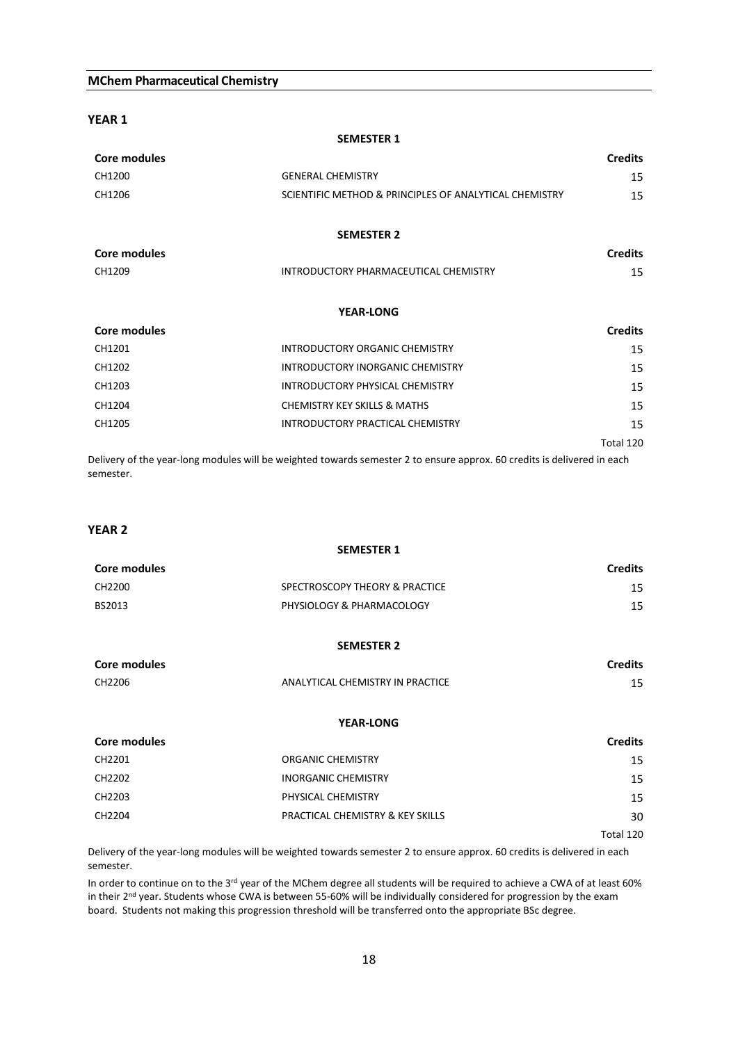### **MChem Pharmaceutical Chemistry**

**YEAR 1**

| Core modules |                                                        | <b>Credits</b> |
|--------------|--------------------------------------------------------|----------------|
| CH1200       | <b>GENERAL CHEMISTRY</b>                               | 15             |
| CH1206       | SCIENTIFIC METHOD & PRINCIPLES OF ANALYTICAL CHEMISTRY | 15             |
|              | <b>SEMESTER 2</b>                                      |                |
| Core modules |                                                        | <b>Credits</b> |
| CH1209       | INTRODUCTORY PHARMACEUTICAL CHEMISTRY                  | 15             |
|              | <b>YEAR-LONG</b>                                       |                |
| Core modules |                                                        | <b>Credits</b> |
| CH1201       | INTRODUCTORY ORGANIC CHEMISTRY                         | 15             |
| CH1202       | INTRODUCTORY INORGANIC CHEMISTRY                       | 15             |
| CH1203       | INTRODUCTORY PHYSICAL CHEMISTRY                        | 15             |
| CH1204       | <b>CHEMISTRY KEY SKILLS &amp; MATHS</b>                | 15             |
| CH1205       | INTRODUCTORY PRACTICAL CHEMISTRY                       | 15             |
|              |                                                        | Total 120      |

**SEMESTER 1**

Delivery of the year-long modules will be weighted towards semester 2 to ensure approx. 60 credits is delivered in each semester.

### **YEAR 2**

| <b>SEMESTER 1</b> |                                |                |
|-------------------|--------------------------------|----------------|
| Core modules      |                                | <b>Credits</b> |
| CH2200            | SPECTROSCOPY THEORY & PRACTICE | 15             |
| BS2013            | PHYSIOLOGY & PHARMACOLOGY      | 15             |

#### **SEMESTER 2**

| Core modules |                                  | <b>Credits</b> |  |
|--------------|----------------------------------|----------------|--|
| CH2206       | ANALYTICAL CHEMISTRY IN PRACTICE |                |  |

#### **YEAR-LONG**

| Core modules |                                             | <b>Credits</b> |
|--------------|---------------------------------------------|----------------|
| CH2201       | <b>ORGANIC CHEMISTRY</b>                    | 15             |
| CH2202       | <b>INORGANIC CHEMISTRY</b>                  | 15             |
| CH2203       | PHYSICAL CHEMISTRY                          | 15             |
| CH2204       | <b>PRACTICAL CHEMISTRY &amp; KEY SKILLS</b> | 30             |
|              |                                             | Total 120      |

Delivery of the year-long modules will be weighted towards semester 2 to ensure approx. 60 credits is delivered in each semester.

In order to continue on to the 3rd year of the MChem degree all students will be required to achieve a CWA of at least 60% in their 2<sup>nd</sup> year. Students whose CWA is between 55-60% will be individually considered for progression by the exam board. Students not making this progression threshold will be transferred onto the appropriate BSc degree.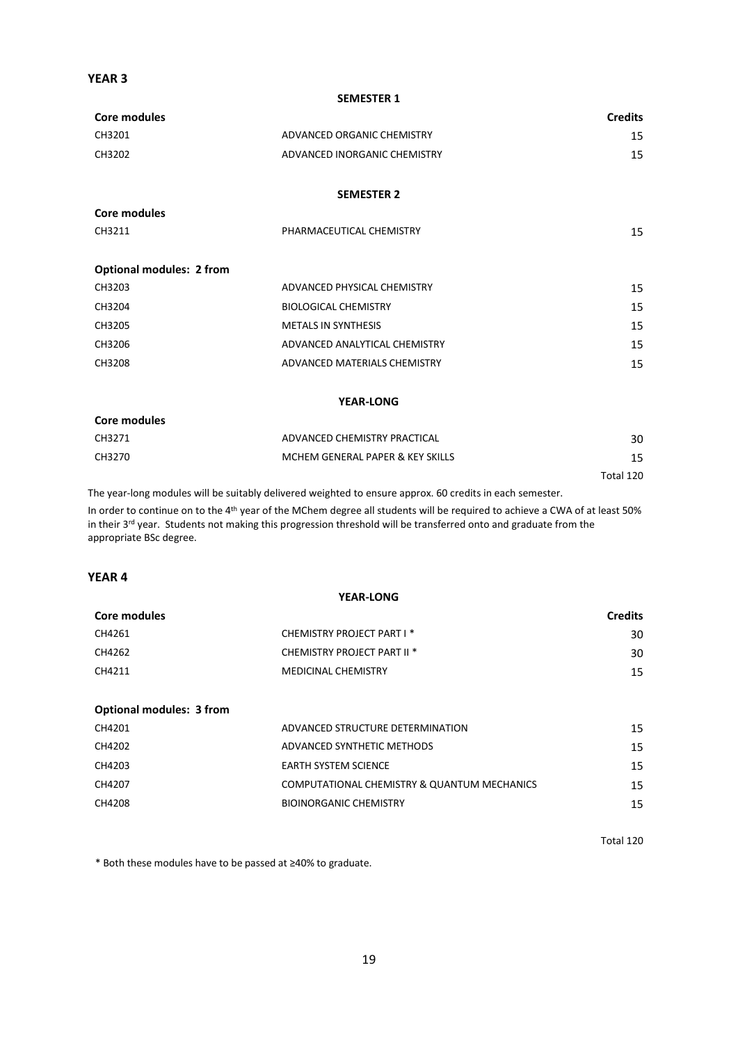## **YEAR 3**

**Core modules**

#### **SEMESTER 1**

| Core modules |                              | <b>Credits</b> |
|--------------|------------------------------|----------------|
| CH3201       | ADVANCED ORGANIC CHEMISTRY   | 15             |
| CH3202       | ADVANCED INORGANIC CHEMISTRY | 15             |
|              |                              |                |

### **SEMESTER 2**

| CH3211 | PHARMACEUTICAL CHEMISTRY | ر 1 |
|--------|--------------------------|-----|
|        |                          |     |

| <b>Optional modules: 2 from</b> |                               |    |
|---------------------------------|-------------------------------|----|
| CH3203                          | ADVANCED PHYSICAL CHEMISTRY   | 15 |
| CH3204                          | <b>BIOLOGICAL CHEMISTRY</b>   | 15 |
| CH3205                          | <b>METALS IN SYNTHESIS</b>    | 15 |
| CH3206                          | ADVANCED ANALYTICAL CHEMISTRY | 15 |
| CH3208                          | ADVANCED MATERIALS CHEMISTRY  | 15 |
|                                 |                               |    |

### **YEAR-LONG**

| Core modules |                                  |           |
|--------------|----------------------------------|-----------|
| CH3271       | ADVANCED CHEMISTRY PRACTICAL     | 30        |
| CH3270       | MCHEM GENERAL PAPER & KEY SKILLS | 15        |
|              |                                  | Total 120 |

The year-long modules will be suitably delivered weighted to ensure approx. 60 credits in each semester.

In order to continue on to the 4th year of the MChem degree all students will be required to achieve a CWA of at least 50% in their 3rd year. Students not making this progression threshold will be transferred onto and graduate from the appropriate BSc degree.

### **YEAR 4**

| <b>YEAR-LONG</b>                |                                             |                |  |  |
|---------------------------------|---------------------------------------------|----------------|--|--|
| Core modules                    |                                             | <b>Credits</b> |  |  |
| CH4261                          | CHEMISTRY PROJECT PART I *                  | 30             |  |  |
| CH4262                          | CHEMISTRY PROJECT PART II <sup>*</sup>      | 30             |  |  |
| CH4211                          | <b>MEDICINAL CHEMISTRY</b>                  | 15             |  |  |
|                                 |                                             |                |  |  |
| <b>Optional modules: 3 from</b> |                                             |                |  |  |
| CH4201                          | ADVANCED STRUCTURE DETERMINATION            | 15             |  |  |
| CH4202                          | ADVANCED SYNTHETIC METHODS                  | 15             |  |  |
| CH4203                          | <b>EARTH SYSTEM SCIENCE</b>                 | 15             |  |  |
| CH4207                          | COMPUTATIONAL CHEMISTRY & QUANTUM MECHANICS | 15             |  |  |
|                                 |                                             |                |  |  |

CH4208 BIOINORGANIC CHEMISTRY 15

Total 120

\* Both these modules have to be passed at ≥40% to graduate.